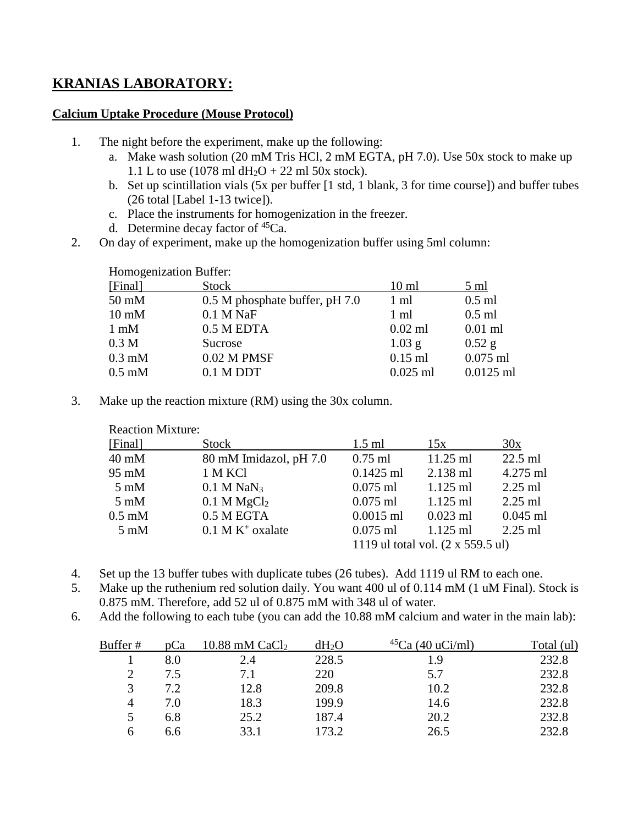## **KRANIAS LABORATORY:**

## **Calcium Uptake Procedure (Mouse Protocol)**

- 1. The night before the experiment, make up the following:
	- a. Make wash solution (20 mM Tris HCl, 2 mM EGTA, pH 7.0). Use 50x stock to make up 1.1 L to use (1078 ml  $dH_2O + 22$  ml 50x stock).
	- b. Set up scintillation vials (5x per buffer [1 std, 1 blank, 3 for time course]) and buffer tubes (26 total [Label 1-13 twice]).
	- c. Place the instruments for homogenization in the freezer.
	- d. Determine decay factor of <sup>45</sup>Ca.
- 2. On day of experiment, make up the homogenization buffer using 5ml column:

| Homogenization Buffer: |                                |                 |                |  |
|------------------------|--------------------------------|-----------------|----------------|--|
| [Final]                | <b>Stock</b>                   | $10 \text{ ml}$ | $5 \text{ ml}$ |  |
| $50 \text{ mM}$        | 0.5 M phosphate buffer, pH 7.0 | 1 ml            | $0.5$ ml       |  |
| $10 \text{ mM}$        | $0.1$ M NaF                    | 1 ml            | $0.5$ ml       |  |
| $1 \text{ mM}$         | 0.5 M EDTA                     | $0.02$ ml       | $0.01$ ml      |  |
| 0.3 <sub>M</sub>       | Sucrose                        | $1.03$ g        | $0.52$ g       |  |
| $0.3 \text{ mM}$       | $0.02$ M PMSF                  | $0.15$ ml       | $0.075$ ml     |  |
| $0.5 \text{ mM}$       | $0.1$ M DDT                    | $0.025$ ml      | $0.0125$ ml    |  |
|                        |                                |                 |                |  |

3. Make up the reaction mixture (RM) using the 30x column.

| [Final]          | Stock                          | $1.5$ ml                          | 15x        | 30x        |
|------------------|--------------------------------|-----------------------------------|------------|------------|
| $40 \text{ mM}$  | 80 mM Imidazol, pH 7.0         | $0.75$ ml                         | $11.25$ ml | $22.5$ ml  |
| 95 mM            | 1 M KCl                        | $0.1425$ ml                       | $2.138$ ml | 4.275 ml   |
| $5 \text{ mM}$   | $0.1$ M NaN <sub>3</sub>       | $0.075$ ml                        | $1.125$ ml | $2.25$ ml  |
| $5 \text{ mM}$   | 0.1 M MgCl <sub>2</sub>        | $0.075$ ml                        | $1.125$ ml | $2.25$ ml  |
| $0.5 \text{ mM}$ | 0.5 M EGTA                     | $0.0015$ ml                       | $0.023$ ml | $0.045$ ml |
| $5 \text{ mM}$   | $0.1$ M K <sup>+</sup> oxalate | $0.075$ ml                        | $1.125$ ml | $2.25$ ml  |
|                  |                                | 1119 ul total vol. (2 x 559.5 ul) |            |            |
|                  |                                |                                   |            |            |

- 4. Set up the 13 buffer tubes with duplicate tubes (26 tubes). Add 1119 ul RM to each one.
- 5. Make up the ruthenium red solution daily. You want 400 ul of 0.114 mM (1 uM Final). Stock is 0.875 mM. Therefore, add 52 ul of 0.875 mM with 348 ul of water.
- 6. Add the following to each tube (you can add the 10.88 mM calcium and water in the main lab):

| Buffer #       | pCa | $10.88$ mM CaCl <sub>2</sub> | $dH_2O$ | $(40 \text{ uCi/ml})$ | Total (ul) |
|----------------|-----|------------------------------|---------|-----------------------|------------|
|                | 8.0 | 2.4                          | 228.5   | 19                    | 232.8      |
| $\mathcal{D}$  | 7.5 | 7.1                          | 220     | 5.7                   | 232.8      |
| 3              | 7.2 | 12.8                         | 209.8   | 10.2                  | 232.8      |
| $\overline{4}$ | 7.0 | 18.3                         | 199.9   | 14.6                  | 232.8      |
| 5              | 6.8 | 25.2                         | 187.4   | 20.2                  | 232.8      |
| h              | 6.6 | 33.1                         | 173.2   | 26.5                  | 232.8      |